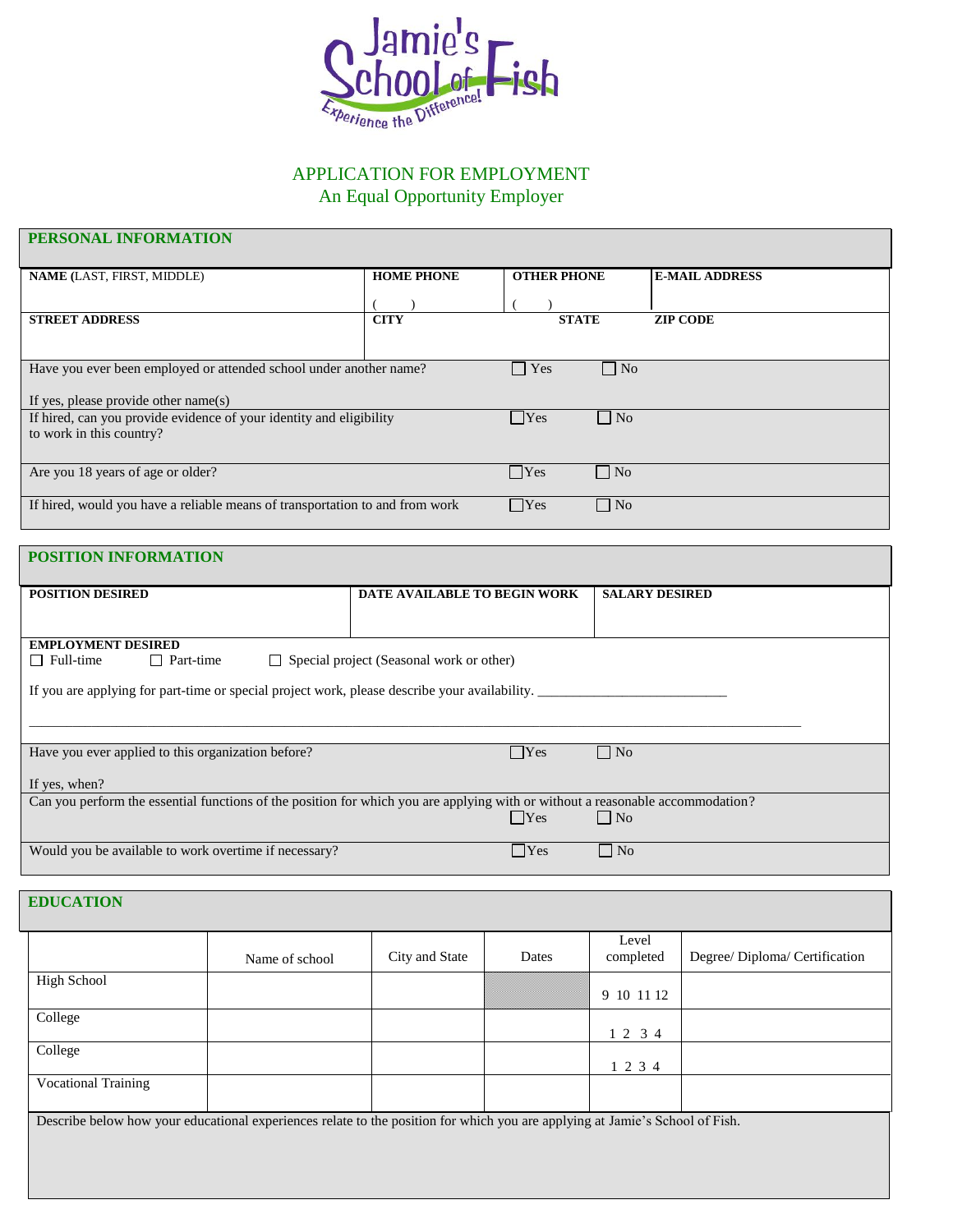

# APPLICATION FOR EMPLOYMENT

An Equal Opportunity Employer

## **PERSONAL INFORMATION**

| <b>NAME</b> (LAST, FIRST, MIDDLE)                                            | <b>HOME PHONE</b> | <b>OTHER PHONE</b> |                   | <b>E-MAIL ADDRESS</b> |
|------------------------------------------------------------------------------|-------------------|--------------------|-------------------|-----------------------|
|                                                                              |                   |                    |                   |                       |
|                                                                              |                   |                    |                   |                       |
| <b>STREET ADDRESS</b>                                                        | <b>CITY</b>       | <b>STATE</b>       |                   | <b>ZIP CODE</b>       |
|                                                                              |                   |                    |                   |                       |
|                                                                              |                   |                    |                   |                       |
| Have you ever been employed or attended school under another name?           |                   | $\Box$ Yes         | $\Box$ No         |                       |
|                                                                              |                   |                    |                   |                       |
| If yes, please provide other name(s)                                         |                   |                    |                   |                       |
| If hired, can you provide evidence of your identity and eligibility          |                   | □ Yes              | $\blacksquare$ No |                       |
| to work in this country?                                                     |                   |                    |                   |                       |
|                                                                              |                   |                    |                   |                       |
|                                                                              |                   |                    |                   |                       |
| Are you 18 years of age or older?                                            |                   | $\Box$ Yes         | $\Box$ No         |                       |
|                                                                              |                   |                    |                   |                       |
| If hired, would you have a reliable means of transportation to and from work |                   | Yes                | $\Box$ No         |                       |
|                                                                              |                   |                    |                   |                       |

### **POSITION INFORMATION**

| <b>POSITION DESIRED</b>                                                                                                        | DATE AVAILABLE TO BEGIN WORK                    | <b>SALARY DESIRED</b> |
|--------------------------------------------------------------------------------------------------------------------------------|-------------------------------------------------|-----------------------|
|                                                                                                                                |                                                 |                       |
|                                                                                                                                |                                                 |                       |
|                                                                                                                                |                                                 |                       |
| <b>EMPLOYMENT DESIRED</b>                                                                                                      |                                                 |                       |
| $\Box$ Full-time<br>$\Box$ Part-time                                                                                           | $\Box$ Special project (Seasonal work or other) |                       |
|                                                                                                                                |                                                 |                       |
| If you are applying for part-time or special project work, please describe your availability.                                  |                                                 |                       |
|                                                                                                                                |                                                 |                       |
|                                                                                                                                |                                                 |                       |
|                                                                                                                                |                                                 |                       |
|                                                                                                                                |                                                 |                       |
| Have you ever applied to this organization before?                                                                             | $\Box$ Yes                                      | $\Box$ No             |
|                                                                                                                                |                                                 |                       |
| If yes, when?                                                                                                                  |                                                 |                       |
|                                                                                                                                |                                                 |                       |
| Can you perform the essential functions of the position for which you are applying with or without a reasonable accommodation? |                                                 |                       |
|                                                                                                                                | $\Box$ Yes                                      | $\Box$ No             |
|                                                                                                                                |                                                 |                       |
| Would you be available to work overtime if necessary?                                                                          | $ $ Yes                                         | $\Box$ No             |
|                                                                                                                                |                                                 |                       |

### **EDUCATION**

|                                                                                                                              | Name of school | City and State | Dates | Level<br>completed | Degree/ Diploma/ Certification |
|------------------------------------------------------------------------------------------------------------------------------|----------------|----------------|-------|--------------------|--------------------------------|
| High School                                                                                                                  |                |                |       | 9 10 11 12         |                                |
| College                                                                                                                      |                |                |       | 1 2 3 4            |                                |
| College                                                                                                                      |                |                |       | 1 2 3 4            |                                |
| <b>Vocational Training</b>                                                                                                   |                |                |       |                    |                                |
| Describe below how your educational experiences relate to the position for which you are applying at Jamie's School of Fish. |                |                |       |                    |                                |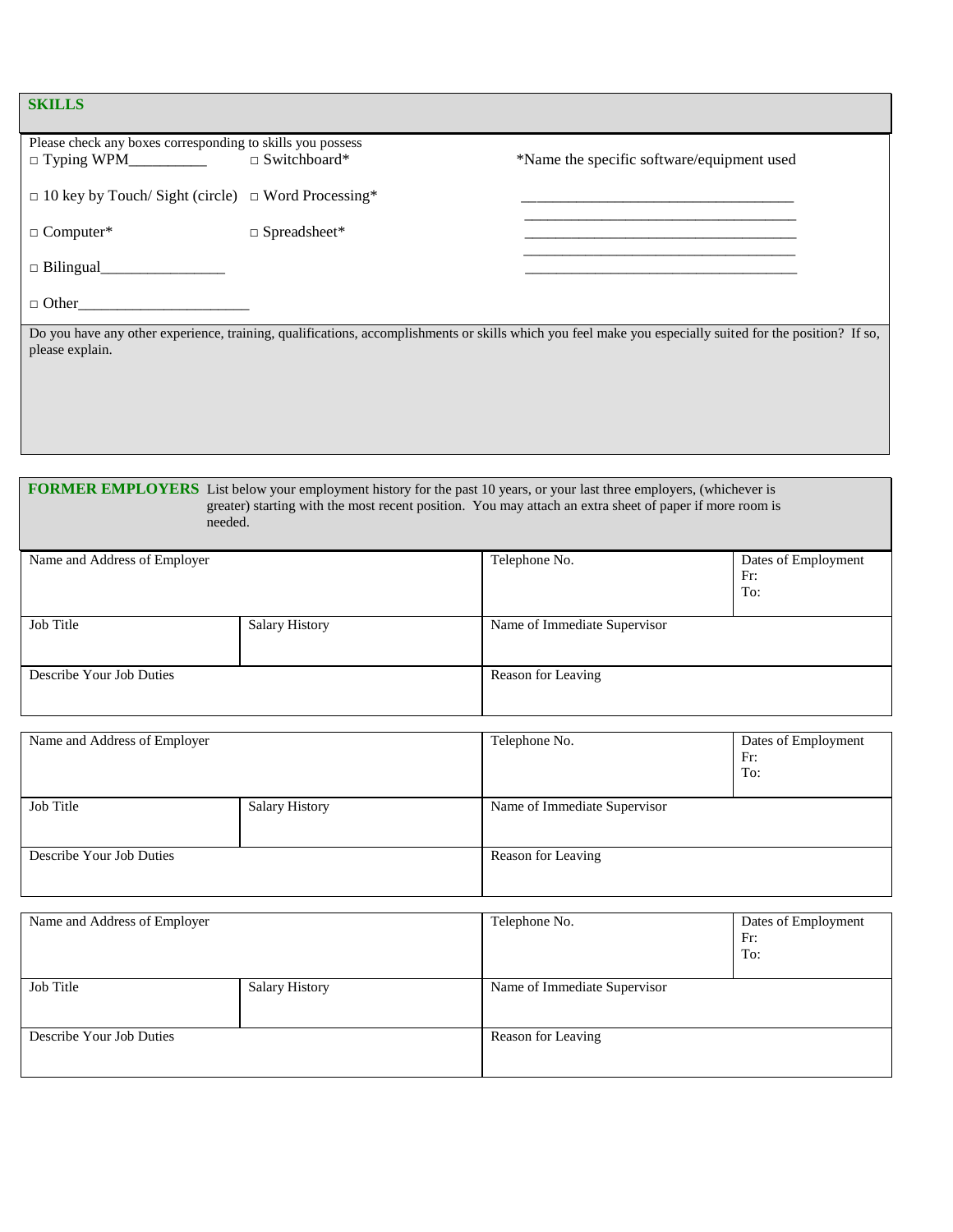## **SKILLS**

| ~~~~~~~                                                        |                     |                                                                                                                                                          |
|----------------------------------------------------------------|---------------------|----------------------------------------------------------------------------------------------------------------------------------------------------------|
| Please check any boxes corresponding to skills you possess     |                     |                                                                                                                                                          |
|                                                                | $\Box$ Switchboard* | *Name the specific software/equipment used                                                                                                               |
| $\Box$ 10 key by Touch/ Sight (circle) $\Box$ Word Processing* |                     |                                                                                                                                                          |
| $\Box$ Computer*                                               | $\Box$ Spreadsheet* |                                                                                                                                                          |
|                                                                |                     |                                                                                                                                                          |
| $\Box$ Other                                                   |                     |                                                                                                                                                          |
| please explain.                                                |                     | Do you have any other experience, training, qualifications, accomplishments or skills which you feel make you especially suited for the position? If so, |
|                                                                |                     |                                                                                                                                                          |
|                                                                |                     |                                                                                                                                                          |

l

#### **FORMER EMPLOYERS** List below your employment history for the past 10 years, or your last three employers, (whichever is greater) starting with the most recent position. You may attach an extra sheet of paper if more room is needed.

| Name and Address of Employer |                       | Telephone No.<br>Dates of Employment<br>Fr:<br>To: |  |  |
|------------------------------|-----------------------|----------------------------------------------------|--|--|
| Job Title                    | <b>Salary History</b> | Name of Immediate Supervisor                       |  |  |
| Describe Your Job Duties     |                       | Reason for Leaving                                 |  |  |

| Name and Address of Employer |                       | Telephone No.                | Dates of Employment<br>Fr:<br>To: |
|------------------------------|-----------------------|------------------------------|-----------------------------------|
| Job Title                    | <b>Salary History</b> | Name of Immediate Supervisor |                                   |
| Describe Your Job Duties     |                       | Reason for Leaving           |                                   |

| Name and Address of Employer |                       | Telephone No.                | Dates of Employment<br>Fr:<br>To: |
|------------------------------|-----------------------|------------------------------|-----------------------------------|
| Job Title                    | <b>Salary History</b> | Name of Immediate Supervisor |                                   |
| Describe Your Job Duties     |                       | Reason for Leaving           |                                   |